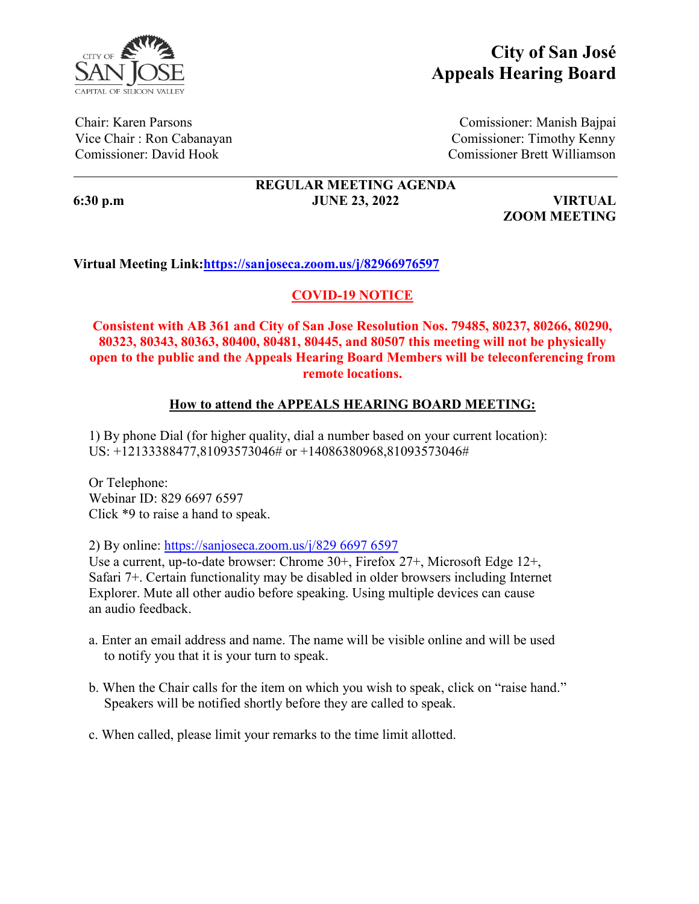

# **City of San José Appeals Hearing Board**

Chair: Karen Parsons Comissioner: Manish Bajpai Vice Chair : Ron Cabanayan Comissioner: Timothy Kenny Comissioner: David Hook Comissioner Brett Williamson

# **REGULAR MEETING AGENDA 6:30 p.m JUNE 23, 2022 VIRTUAL**

**ZOOM MEETING**

# **Virtual Meeting Link:https://sanjoseca.zoom.us/j/82966976597**

# **COVID-19 NOTICE**

**Consistent with AB 361 and City of San Jose Resolution Nos. 79485, 80237, 80266, 80290, 80323, 80343, 80363, 80400, 80481, 80445, and 80507 this meeting will not be physically open to the public and the Appeals Hearing Board Members will be teleconferencing from remote locations.** 

## **How to attend the APPEALS HEARING BOARD MEETING:**

1) By phone Dial (for higher quality, dial a number based on your current location): US: +12133388477,81093573046# or +14086380968,81093573046#

Or Telephone: Webinar ID: 829 6697 6597 Click \*9 to raise a hand to speak.

2) By online: https://sanjoseca.zoom.us/j/829 6697 6597

Use a current, up-to-date browser: Chrome 30+, Firefox 27+, Microsoft Edge 12+, Safari 7+. Certain functionality may be disabled in older browsers including Internet Explorer. Mute all other audio before speaking. Using multiple devices can cause an audio feedback.

- a. Enter an email address and name. The name will be visible online and will be used to notify you that it is your turn to speak.
- b. When the Chair calls for the item on which you wish to speak, click on "raise hand." Speakers will be notified shortly before they are called to speak.
- c. When called, please limit your remarks to the time limit allotted.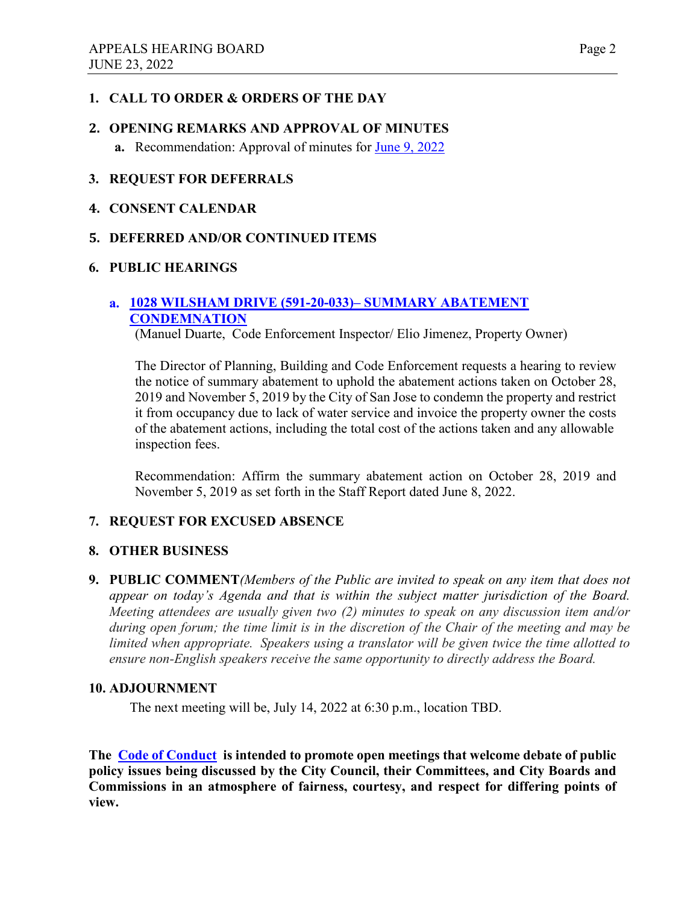## **1. CALL TO ORDER & ORDERS OF THE DAY**

# **2. OPENING REMARKS AND APPROVAL OF MINUTES a.** Recommendation: Approval of minutes for [June 9, 2022](https://www.sanjoseca.gov/home/showdocument?id=86943&t=637907233027049215)

## **3. REQUEST FOR DEFERRALS**

#### **4. CONSENT CALENDAR**

## **5. DEFERRED AND/OR CONTINUED ITEMS**

#### **6. PUBLIC HEARINGS**

## **a. [1028 WILSHAM DRIVE \(591-20-033\)– SUMMARY ABATEMENT](https://www.sanjoseca.gov/home/showdocument?id=86941&t=637907231767891421)  [CONDEMNATION](https://www.sanjoseca.gov/home/showdocument?id=86941&t=637907231767891421)**

(Manuel Duarte, Code Enforcement Inspector/ Elio Jimenez, Property Owner)

The Director of Planning, Building and Code Enforcement requests a hearing to review the notice of summary abatement to uphold the abatement actions taken on October 28, 2019 and November 5, 2019 by the City of San Jose to condemn the property and restrict it from occupancy due to lack of water service and invoice the property owner the costs of the abatement actions, including the total cost of the actions taken and any allowable inspection fees.

Recommendation: Affirm the summary abatement action on October 28, 2019 and November 5, 2019 as set forth in the Staff Report dated June 8, 2022.

## **7. REQUEST FOR EXCUSED ABSENCE**

#### **8. OTHER BUSINESS**

**9. PUBLIC COMMENT***(Members of the Public are invited to speak on any item that does not appear on today's Agenda and that is within the subject matter jurisdiction of the Board. Meeting attendees are usually given two (2) minutes to speak on any discussion item and/or during open forum; the time limit is in the discretion of the Chair of the meeting and may be limited when appropriate. Speakers using a translator will be given twice the time allotted to ensure non-English speakers receive the same opportunity to directly address the Board.*

#### **10. ADJOURNMENT**

The next meeting will be, July 14, 2022 at 6:30 p.m., location TBD.

**The [Code of Conduct](https://www.sanjoseca.gov/home/showpublisheddocument/12901/636670004966630000) is intended to promote open meetings that welcome debate of public policy issues being discussed by the City Council, their Committees, and City Boards and Commissions in an atmosphere of fairness, courtesy, and respect for differing points of view.**